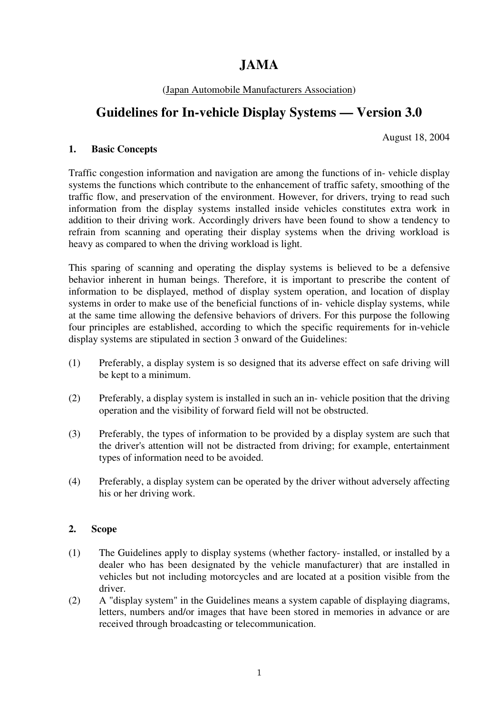# **JAMA**

## (Japan Automobile Manufacturers Association)

# **Guidelines for In-vehicle Display Systems — Version 3.0**

August 18, 2004

#### **1. Basic Concepts**

Traffic congestion information and navigation are among the functions of in- vehicle display systems the functions which contribute to the enhancement of traffic safety, smoothing of the traffic flow, and preservation of the environment. However, for drivers, trying to read such information from the display systems installed inside vehicles constitutes extra work in addition to their driving work. Accordingly drivers have been found to show a tendency to refrain from scanning and operating their display systems when the driving workload is heavy as compared to when the driving workload is light.

This sparing of scanning and operating the display systems is believed to be a defensive behavior inherent in human beings. Therefore, it is important to prescribe the content of information to be displayed, method of display system operation, and location of display systems in order to make use of the beneficial functions of in- vehicle display systems, while at the same time allowing the defensive behaviors of drivers. For this purpose the following four principles are established, according to which the specific requirements for in-vehicle display systems are stipulated in section 3 onward of the Guidelines:

- (1) Preferably, a display system is so designed that its adverse effect on safe driving will be kept to a minimum.
- (2) Preferably, a display system is installed in such an in- vehicle position that the driving operation and the visibility of forward field will not be obstructed.
- (3) Preferably, the types of information to be provided by a display system are such that the driver's attention will not be distracted from driving; for example, entertainment types of information need to be avoided.
- (4) Preferably, a display system can be operated by the driver without adversely affecting his or her driving work.

#### **2. Scope**

- (1) The Guidelines apply to display systems (whether factory- installed, or installed by a dealer who has been designated by the vehicle manufacturer) that are installed in vehicles but not including motorcycles and are located at a position visible from the driver.
- (2) A "display system" in the Guidelines means a system capable of displaying diagrams, letters, numbers and/or images that have been stored in memories in advance or are received through broadcasting or telecommunication.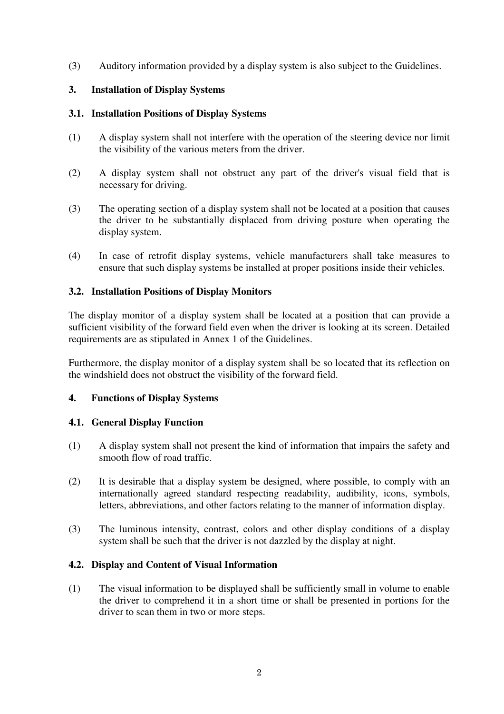(3) Auditory information provided by a display system is also subject to the Guidelines.

### **3. Installation of Display Systems**

### **3.1. Installation Positions of Display Systems**

- (1) A display system shall not interfere with the operation of the steering device nor limit the visibility of the various meters from the driver.
- (2) A display system shall not obstruct any part of the driver's visual field that is necessary for driving.
- (3) The operating section of a display system shall not be located at a position that causes the driver to be substantially displaced from driving posture when operating the display system.
- (4) In case of retrofit display systems, vehicle manufacturers shall take measures to ensure that such display systems be installed at proper positions inside their vehicles.

## **3.2. Installation Positions of Display Monitors**

The display monitor of a display system shall be located at a position that can provide a sufficient visibility of the forward field even when the driver is looking at its screen. Detailed requirements are as stipulated in Annex 1 of the Guidelines.

Furthermore, the display monitor of a display system shall be so located that its reflection on the windshield does not obstruct the visibility of the forward field.

#### **4. Functions of Display Systems**

#### **4.1. General Display Function**

- (1) A display system shall not present the kind of information that impairs the safety and smooth flow of road traffic.
- (2) It is desirable that a display system be designed, where possible, to comply with an internationally agreed standard respecting readability, audibility, icons, symbols, letters, abbreviations, and other factors relating to the manner of information display.
- (3) The luminous intensity, contrast, colors and other display conditions of a display system shall be such that the driver is not dazzled by the display at night.

#### **4.2. Display and Content of Visual Information**

(1) The visual information to be displayed shall be sufficiently small in volume to enable the driver to comprehend it in a short time or shall be presented in portions for the driver to scan them in two or more steps.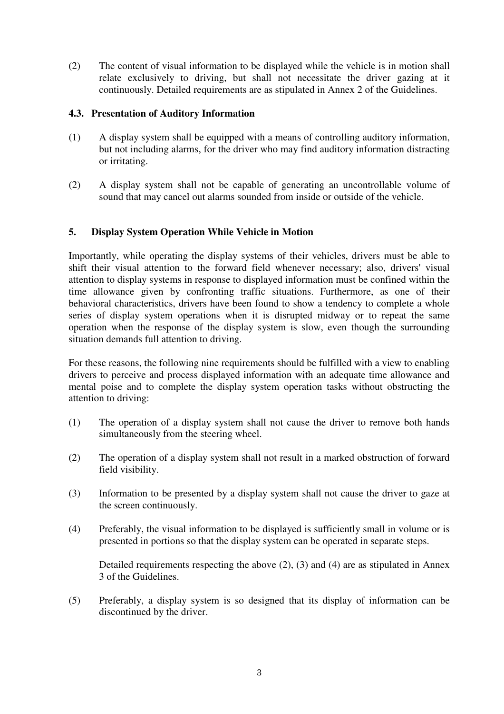(2) The content of visual information to be displayed while the vehicle is in motion shall relate exclusively to driving, but shall not necessitate the driver gazing at it continuously. Detailed requirements are as stipulated in Annex 2 of the Guidelines.

#### **4.3. Presentation of Auditory Information**

- (1) A display system shall be equipped with a means of controlling auditory information, but not including alarms, for the driver who may find auditory information distracting or irritating.
- (2) A display system shall not be capable of generating an uncontrollable volume of sound that may cancel out alarms sounded from inside or outside of the vehicle.

#### **5. Display System Operation While Vehicle in Motion**

Importantly, while operating the display systems of their vehicles, drivers must be able to shift their visual attention to the forward field whenever necessary; also, drivers' visual attention to display systems in response to displayed information must be confined within the time allowance given by confronting traffic situations. Furthermore, as one of their behavioral characteristics, drivers have been found to show a tendency to complete a whole series of display system operations when it is disrupted midway or to repeat the same operation when the response of the display system is slow, even though the surrounding situation demands full attention to driving.

For these reasons, the following nine requirements should be fulfilled with a view to enabling drivers to perceive and process displayed information with an adequate time allowance and mental poise and to complete the display system operation tasks without obstructing the attention to driving:

- (1) The operation of a display system shall not cause the driver to remove both hands simultaneously from the steering wheel.
- (2) The operation of a display system shall not result in a marked obstruction of forward field visibility.
- (3) Information to be presented by a display system shall not cause the driver to gaze at the screen continuously.
- (4) Preferably, the visual information to be displayed is sufficiently small in volume or is presented in portions so that the display system can be operated in separate steps.

 Detailed requirements respecting the above (2), (3) and (4) are as stipulated in Annex 3 of the Guidelines.

(5) Preferably, a display system is so designed that its display of information can be discontinued by the driver.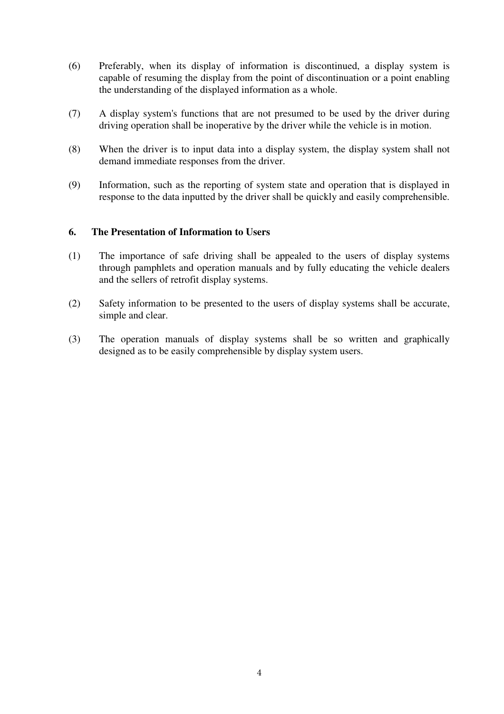- (6) Preferably, when its display of information is discontinued, a display system is capable of resuming the display from the point of discontinuation or a point enabling the understanding of the displayed information as a whole.
- (7) A display system's functions that are not presumed to be used by the driver during driving operation shall be inoperative by the driver while the vehicle is in motion.
- (8) When the driver is to input data into a display system, the display system shall not demand immediate responses from the driver.
- (9) Information, such as the reporting of system state and operation that is displayed in response to the data inputted by the driver shall be quickly and easily comprehensible.

#### **6. The Presentation of Information to Users**

- (1) The importance of safe driving shall be appealed to the users of display systems through pamphlets and operation manuals and by fully educating the vehicle dealers and the sellers of retrofit display systems.
- (2) Safety information to be presented to the users of display systems shall be accurate, simple and clear.
- (3) The operation manuals of display systems shall be so written and graphically designed as to be easily comprehensible by display system users.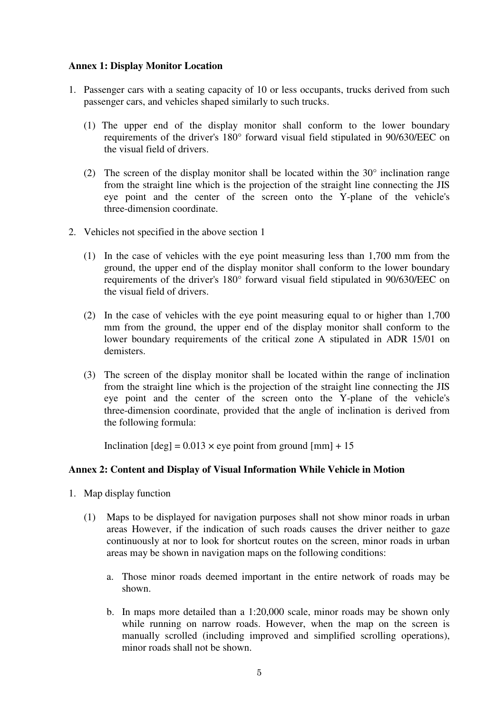#### **Annex 1: Display Monitor Location**

- 1. Passenger cars with a seating capacity of 10 or less occupants, trucks derived from such passenger cars, and vehicles shaped similarly to such trucks.
	- (1) The upper end of the display monitor shall conform to the lower boundary requirements of the driver's 180° forward visual field stipulated in 90/630/EEC on the visual field of drivers.
	- (2) The screen of the display monitor shall be located within the  $30^{\circ}$  inclination range from the straight line which is the projection of the straight line connecting the JIS eye point and the center of the screen onto the Y-plane of the vehicle's three-dimension coordinate.
- 2. Vehicles not specified in the above section 1
	- (1) In the case of vehicles with the eye point measuring less than 1,700 mm from the ground, the upper end of the display monitor shall conform to the lower boundary requirements of the driver's 180° forward visual field stipulated in 90/630/EEC on the visual field of drivers.
	- (2) In the case of vehicles with the eye point measuring equal to or higher than 1,700 mm from the ground, the upper end of the display monitor shall conform to the lower boundary requirements of the critical zone A stipulated in ADR 15/01 on demisters.
	- (3) The screen of the display monitor shall be located within the range of inclination from the straight line which is the projection of the straight line connecting the JIS eye point and the center of the screen onto the Y-plane of the vehicle's three-dimension coordinate, provided that the angle of inclination is derived from the following formula:

Inclination  $[deg] = 0.013 \times$  eye point from ground  $[mm] + 15$ 

#### **Annex 2: Content and Display of Visual Information While Vehicle in Motion**

- 1. Map display function
	- (1) Maps to be displayed for navigation purposes shall not show minor roads in urban areas However, if the indication of such roads causes the driver neither to gaze continuously at nor to look for shortcut routes on the screen, minor roads in urban areas may be shown in navigation maps on the following conditions:
		- a. Those minor roads deemed important in the entire network of roads may be shown.
		- b. In maps more detailed than a 1:20,000 scale, minor roads may be shown only while running on narrow roads. However, when the map on the screen is manually scrolled (including improved and simplified scrolling operations), minor roads shall not be shown.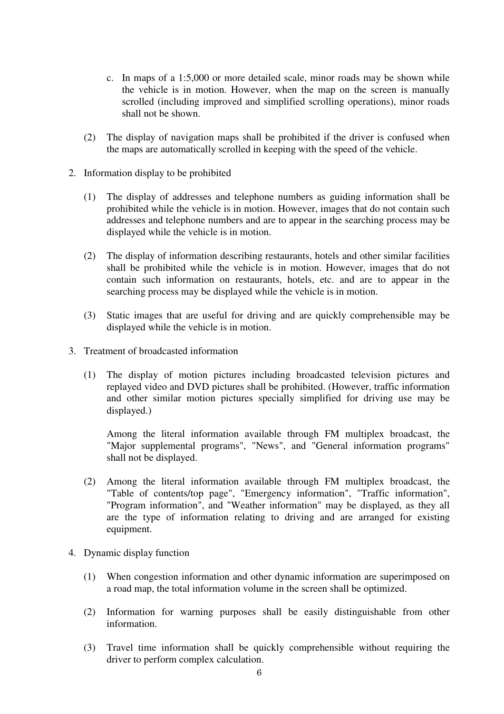- c. In maps of a 1:5,000 or more detailed scale, minor roads may be shown while the vehicle is in motion. However, when the map on the screen is manually scrolled (including improved and simplified scrolling operations), minor roads shall not be shown.
- (2) The display of navigation maps shall be prohibited if the driver is confused when the maps are automatically scrolled in keeping with the speed of the vehicle.
- 2. Information display to be prohibited
	- (1) The display of addresses and telephone numbers as guiding information shall be prohibited while the vehicle is in motion. However, images that do not contain such addresses and telephone numbers and are to appear in the searching process may be displayed while the vehicle is in motion.
	- (2) The display of information describing restaurants, hotels and other similar facilities shall be prohibited while the vehicle is in motion. However, images that do not contain such information on restaurants, hotels, etc. and are to appear in the searching process may be displayed while the vehicle is in motion.
	- (3) Static images that are useful for driving and are quickly comprehensible may be displayed while the vehicle is in motion.
- 3. Treatment of broadcasted information
	- (1) The display of motion pictures including broadcasted television pictures and replayed video and DVD pictures shall be prohibited. (However, traffic information and other similar motion pictures specially simplified for driving use may be displayed.)

 Among the literal information available through FM multiplex broadcast, the "Major supplemental programs", "News", and "General information programs" shall not be displayed.

- (2) Among the literal information available through FM multiplex broadcast, the "Table of contents/top page", "Emergency information", "Traffic information", "Program information", and "Weather information" may be displayed, as they all are the type of information relating to driving and are arranged for existing equipment.
- 4. Dynamic display function
	- (1) When congestion information and other dynamic information are superimposed on a road map, the total information volume in the screen shall be optimized.
	- (2) Information for warning purposes shall be easily distinguishable from other information.
	- (3) Travel time information shall be quickly comprehensible without requiring the driver to perform complex calculation.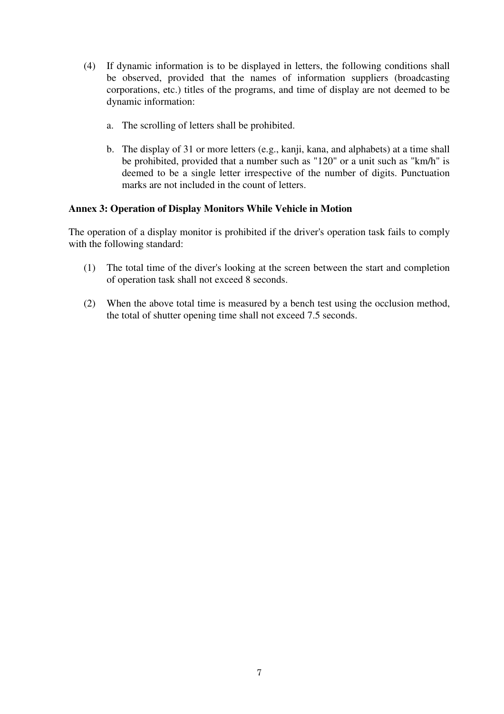- (4) If dynamic information is to be displayed in letters, the following conditions shall be observed, provided that the names of information suppliers (broadcasting corporations, etc.) titles of the programs, and time of display are not deemed to be dynamic information:
	- a. The scrolling of letters shall be prohibited.
	- b. The display of 31 or more letters (e.g., kanji, kana, and alphabets) at a time shall be prohibited, provided that a number such as "120" or a unit such as "km/h" is deemed to be a single letter irrespective of the number of digits. Punctuation marks are not included in the count of letters.

#### **Annex 3: Operation of Display Monitors While Vehicle in Motion**

The operation of a display monitor is prohibited if the driver's operation task fails to comply with the following standard:

- (1) The total time of the diver's looking at the screen between the start and completion of operation task shall not exceed 8 seconds.
- (2) When the above total time is measured by a bench test using the occlusion method, the total of shutter opening time shall not exceed 7.5 seconds.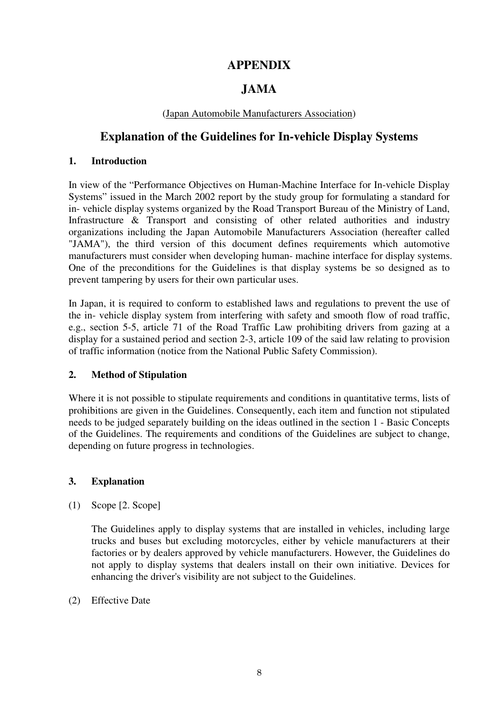# **APPENDIX**

# **JAMA**

### (Japan Automobile Manufacturers Association)

# **Explanation of the Guidelines for In-vehicle Display Systems**

#### **1. Introduction**

In view of the "Performance Objectives on Human-Machine Interface for In-vehicle Display Systems" issued in the March 2002 report by the study group for formulating a standard for in- vehicle display systems organized by the Road Transport Bureau of the Ministry of Land, Infrastructure & Transport and consisting of other related authorities and industry organizations including the Japan Automobile Manufacturers Association (hereafter called "JAMA"), the third version of this document defines requirements which automotive manufacturers must consider when developing human- machine interface for display systems. One of the preconditions for the Guidelines is that display systems be so designed as to prevent tampering by users for their own particular uses.

In Japan, it is required to conform to established laws and regulations to prevent the use of the in- vehicle display system from interfering with safety and smooth flow of road traffic, e.g., section 5-5, article 71 of the Road Traffic Law prohibiting drivers from gazing at a display for a sustained period and section 2-3, article 109 of the said law relating to provision of traffic information (notice from the National Public Safety Commission).

# **2. Method of Stipulation**

Where it is not possible to stipulate requirements and conditions in quantitative terms, lists of prohibitions are given in the Guidelines. Consequently, each item and function not stipulated needs to be judged separately building on the ideas outlined in the section 1 - Basic Concepts of the Guidelines. The requirements and conditions of the Guidelines are subject to change, depending on future progress in technologies.

#### **3. Explanation**

(1) Scope [2. Scope]

 The Guidelines apply to display systems that are installed in vehicles, including large trucks and buses but excluding motorcycles, either by vehicle manufacturers at their factories or by dealers approved by vehicle manufacturers. However, the Guidelines do not apply to display systems that dealers install on their own initiative. Devices for enhancing the driver's visibility are not subject to the Guidelines.

(2) Effective Date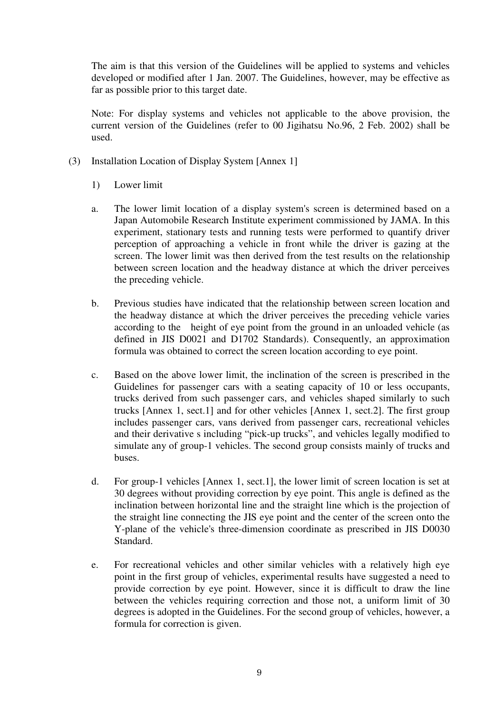The aim is that this version of the Guidelines will be applied to systems and vehicles developed or modified after 1 Jan. 2007. The Guidelines, however, may be effective as far as possible prior to this target date.

 Note: For display systems and vehicles not applicable to the above provision, the current version of the Guidelines (refer to 00 Jigihatsu No.96, 2 Feb. 2002) shall be used.

- (3) Installation Location of Display System [Annex 1]
	- 1) Lower limit
	- a. The lower limit location of a display system's screen is determined based on a Japan Automobile Research Institute experiment commissioned by JAMA. In this experiment, stationary tests and running tests were performed to quantify driver perception of approaching a vehicle in front while the driver is gazing at the screen. The lower limit was then derived from the test results on the relationship between screen location and the headway distance at which the driver perceives the preceding vehicle.
	- b. Previous studies have indicated that the relationship between screen location and the headway distance at which the driver perceives the preceding vehicle varies according to the height of eye point from the ground in an unloaded vehicle (as defined in JIS D0021 and D1702 Standards). Consequently, an approximation formula was obtained to correct the screen location according to eye point.
	- c. Based on the above lower limit, the inclination of the screen is prescribed in the Guidelines for passenger cars with a seating capacity of 10 or less occupants, trucks derived from such passenger cars, and vehicles shaped similarly to such trucks [Annex 1, sect.1] and for other vehicles [Annex 1, sect.2]. The first group includes passenger cars, vans derived from passenger cars, recreational vehicles and their derivative s including "pick-up trucks", and vehicles legally modified to simulate any of group-1 vehicles. The second group consists mainly of trucks and buses.
	- d. For group-1 vehicles [Annex 1, sect.1], the lower limit of screen location is set at 30 degrees without providing correction by eye point. This angle is defined as the inclination between horizontal line and the straight line which is the projection of the straight line connecting the JIS eye point and the center of the screen onto the Y-plane of the vehicle's three-dimension coordinate as prescribed in JIS D0030 Standard.
	- e. For recreational vehicles and other similar vehicles with a relatively high eye point in the first group of vehicles, experimental results have suggested a need to provide correction by eye point. However, since it is difficult to draw the line between the vehicles requiring correction and those not, a uniform limit of 30 degrees is adopted in the Guidelines. For the second group of vehicles, however, a formula for correction is given.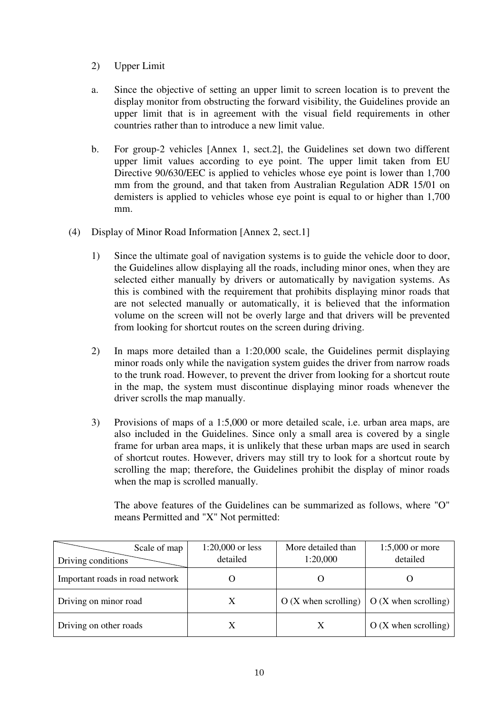- 2) Upper Limit
- a. Since the objective of setting an upper limit to screen location is to prevent the display monitor from obstructing the forward visibility, the Guidelines provide an upper limit that is in agreement with the visual field requirements in other countries rather than to introduce a new limit value.
- b. For group-2 vehicles [Annex 1, sect.2], the Guidelines set down two different upper limit values according to eye point. The upper limit taken from EU Directive 90/630/EEC is applied to vehicles whose eye point is lower than 1,700 mm from the ground, and that taken from Australian Regulation ADR 15/01 on demisters is applied to vehicles whose eye point is equal to or higher than 1,700 mm.
- (4) Display of Minor Road Information [Annex 2, sect.1]
	- 1) Since the ultimate goal of navigation systems is to guide the vehicle door to door, the Guidelines allow displaying all the roads, including minor ones, when they are selected either manually by drivers or automatically by navigation systems. As this is combined with the requirement that prohibits displaying minor roads that are not selected manually or automatically, it is believed that the information volume on the screen will not be overly large and that drivers will be prevented from looking for shortcut routes on the screen during driving.
	- 2) In maps more detailed than a 1:20,000 scale, the Guidelines permit displaying minor roads only while the navigation system guides the driver from narrow roads to the trunk road. However, to prevent the driver from looking for a shortcut route in the map, the system must discontinue displaying minor roads whenever the driver scrolls the map manually.
	- 3) Provisions of maps of a 1:5,000 or more detailed scale, i.e. urban area maps, are also included in the Guidelines. Since only a small area is covered by a single frame for urban area maps, it is unlikely that these urban maps are used in search of shortcut routes. However, drivers may still try to look for a shortcut route by scrolling the map; therefore, the Guidelines prohibit the display of minor roads when the map is scrolled manually.

 The above features of the Guidelines can be summarized as follows, where "O" means Permitted and "X" Not permitted:

| Scale of map                    | $1:20,000$ or less | More detailed than    | $1:5,000$ or more                 |
|---------------------------------|--------------------|-----------------------|-----------------------------------|
| Driving conditions              | detailed           | 1:20,000              | detailed                          |
| Important roads in road network |                    |                       |                                   |
| Driving on minor road           | Х                  | $O(X$ when scrolling) | $\overline{O}$ (X when scrolling) |
| Driving on other roads          |                    |                       | $O(X$ when scrolling)             |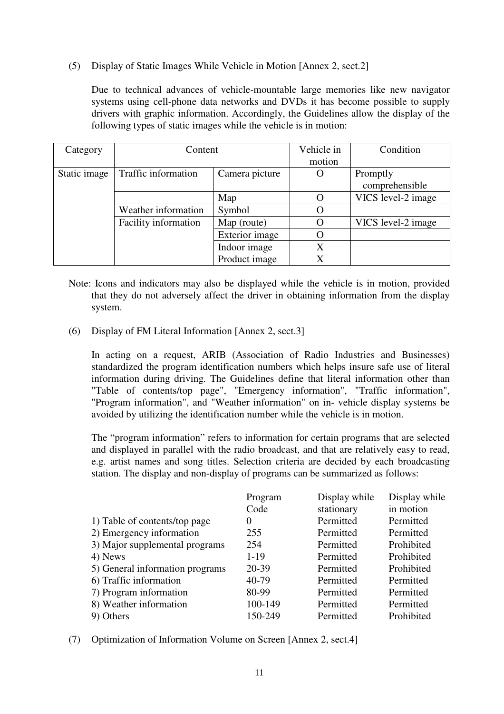(5) Display of Static Images While Vehicle in Motion [Annex 2, sect.2]

Due to technical advances of vehicle-mountable large memories like new navigator systems using cell-phone data networks and DVDs it has become possible to supply drivers with graphic information. Accordingly, the Guidelines allow the display of the following types of static images while the vehicle is in motion:

| Category     | Content              |                | Vehicle in | Condition          |
|--------------|----------------------|----------------|------------|--------------------|
|              |                      |                | motion     |                    |
| Static image | Traffic information  | Camera picture | Ő          | Promptly           |
|              |                      |                |            | comprehensible     |
|              |                      | Map            | $\Omega$   | VICS level-2 image |
|              | Weather information  | Symbol         | O          |                    |
|              | Facility information | Map (route)    | O          | VICS level-2 image |
|              |                      | Exterior image | O          |                    |
|              |                      | Indoor image   | X          |                    |
|              |                      | Product image  | X          |                    |

- Note: Icons and indicators may also be displayed while the vehicle is in motion, provided that they do not adversely affect the driver in obtaining information from the display system.
- (6) Display of FM Literal Information [Annex 2, sect.3]

 In acting on a request, ARIB (Association of Radio Industries and Businesses) standardized the program identification numbers which helps insure safe use of literal information during driving. The Guidelines define that literal information other than "Table of contents/top page", "Emergency information", "Traffic information", "Program information", and "Weather information" on in- vehicle display systems be avoided by utilizing the identification number while the vehicle is in motion.

 The "program information" refers to information for certain programs that are selected and displayed in parallel with the radio broadcast, and that are relatively easy to read, e.g. artist names and song titles. Selection criteria are decided by each broadcasting station. The display and non-display of programs can be summarized as follows:

|                                 | Program  | Display while | Display while |
|---------------------------------|----------|---------------|---------------|
|                                 | Code     | stationary    | in motion     |
| 1) Table of contents/top page   | $\theta$ | Permitted     | Permitted     |
| 2) Emergency information        | 255      | Permitted     | Permitted     |
| 3) Major supplemental programs  | 254      | Permitted     | Prohibited    |
| 4) News                         | $1 - 19$ | Permitted     | Prohibited    |
| 5) General information programs | 20-39    | Permitted     | Prohibited    |
| 6) Traffic information          | 40-79    | Permitted     | Permitted     |
| 7) Program information          | 80-99    | Permitted     | Permitted     |
| 8) Weather information          | 100-149  | Permitted     | Permitted     |
| 9) Others                       | 150-249  | Permitted     | Prohibited    |

(7) Optimization of Information Volume on Screen [Annex 2, sect.4]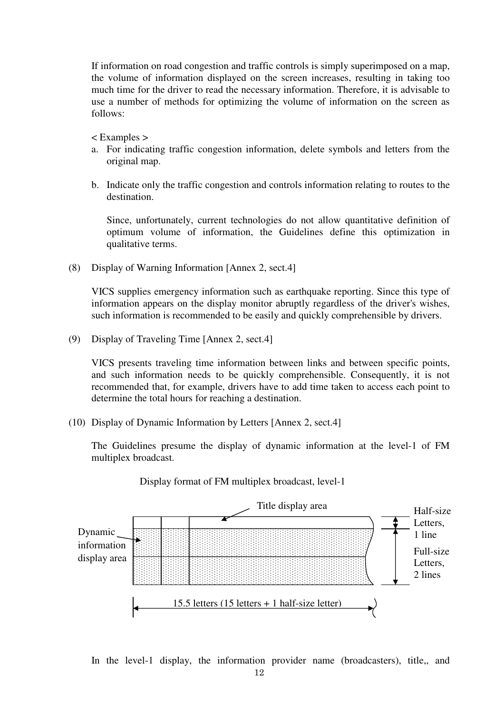If information on road congestion and traffic controls is simply superimposed on a map, the volume of information displayed on the screen increases, resulting in taking too much time for the driver to read the necessary information. Therefore, it is advisable to use a number of methods for optimizing the volume of information on the screen as follows:

< Examples >

- a. For indicating traffic congestion information, delete symbols and letters from the original map.
- b. Indicate only the traffic congestion and controls information relating to routes to the destination.

 Since, unfortunately, current technologies do not allow quantitative definition of optimum volume of information, the Guidelines define this optimization in qualitative terms.

(8) Display of Warning Information [Annex 2, sect.4]

 VICS supplies emergency information such as earthquake reporting. Since this type of information appears on the display monitor abruptly regardless of the driver's wishes, such information is recommended to be easily and quickly comprehensible by drivers.

(9) Display of Traveling Time [Annex 2, sect.4]

 VICS presents traveling time information between links and between specific points, and such information needs to be quickly comprehensible. Consequently, it is not recommended that, for example, drivers have to add time taken to access each point to determine the total hours for reaching a destination.

(10) Display of Dynamic Information by Letters [Annex 2, sect.4]

 The Guidelines presume the display of dynamic information at the level-1 of FM multiplex broadcast.



Display format of FM multiplex broadcast, level-1

In the level-1 display, the information provider name (broadcasters), title,, and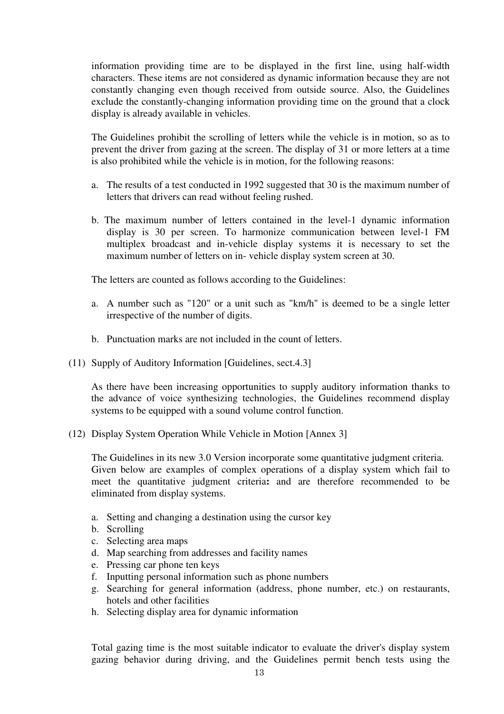information providing time are to be displayed in the first line, using half-width characters. These items are not considered as dynamic information because they are not constantly changing even though received from outside source. Also, the Guidelines exclude the constantly-changing information providing time on the ground that a clock display is already available in vehicles.

 The Guidelines prohibit the scrolling of letters while the vehicle is in motion, so as to prevent the driver from gazing at the screen. The display of 31 or more letters at a time is also prohibited while the vehicle is in motion, for the following reasons:

- a. The results of a test conducted in 1992 suggested that 30 is the maximum number of letters that drivers can read without feeling rushed.
- b. The maximum number of letters contained in the level-1 dynamic information display is 30 per screen. To harmonize communication between level-1 FM multiplex broadcast and in-vehicle display systems it is necessary to set the maximum number of letters on in- vehicle display system screen at 30.

The letters are counted as follows according to the Guidelines:

- a. A number such as "120" or a unit such as "km/h" is deemed to be a single letter irrespective of the number of digits.
- b. Punctuation marks are not included in the count of letters.
- (11) Supply of Auditory Information [Guidelines, sect.4.3]

As there have been increasing opportunities to supply auditory information thanks to the advance of voice synthesizing technologies, the Guidelines recommend display systems to be equipped with a sound volume control function.

(12) Display System Operation While Vehicle in Motion [Annex 3]

 The Guidelines in its new 3.0 Version incorporate some quantitative judgment criteria. Given below are examples of complex operations of a display system which fail to meet the quantitative judgment criteria**:** and are therefore recommended to be eliminated from display systems.

- a. Setting and changing a destination using the cursor key
- b. Scrolling
- c. Selecting area maps
- d. Map searching from addresses and facility names
- e. Pressing car phone ten keys
- f. Inputting personal information such as phone numbers
- g. Searching for general information (address, phone number, etc.) on restaurants, hotels and other facilities
- h. Selecting display area for dynamic information

Total gazing time is the most suitable indicator to evaluate the driver's display system gazing behavior during driving, and the Guidelines permit bench tests using the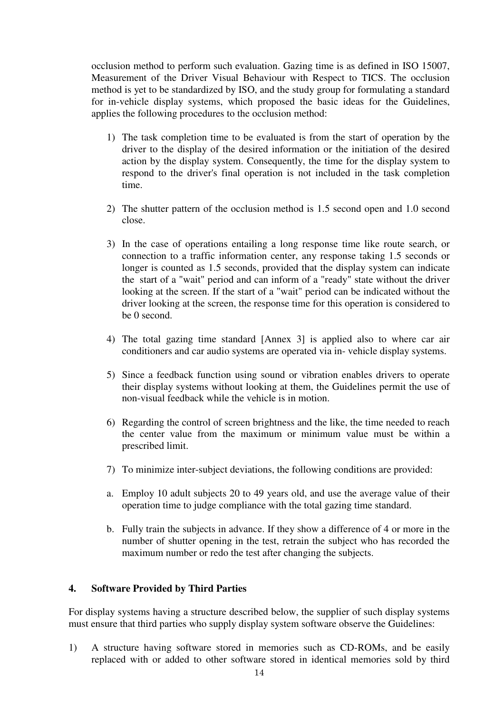occlusion method to perform such evaluation. Gazing time is as defined in ISO 15007, Measurement of the Driver Visual Behaviour with Respect to TICS. The occlusion method is yet to be standardized by ISO, and the study group for formulating a standard for in-vehicle display systems, which proposed the basic ideas for the Guidelines, applies the following procedures to the occlusion method:

- 1) The task completion time to be evaluated is from the start of operation by the driver to the display of the desired information or the initiation of the desired action by the display system. Consequently, the time for the display system to respond to the driver's final operation is not included in the task completion time.
- 2) The shutter pattern of the occlusion method is 1.5 second open and 1.0 second close.
- 3) In the case of operations entailing a long response time like route search, or connection to a traffic information center, any response taking 1.5 seconds or longer is counted as 1.5 seconds, provided that the display system can indicate the start of a "wait" period and can inform of a "ready" state without the driver looking at the screen. If the start of a "wait" period can be indicated without the driver looking at the screen, the response time for this operation is considered to be 0 second.
- 4) The total gazing time standard [Annex 3] is applied also to where car air conditioners and car audio systems are operated via in- vehicle display systems.
- 5) Since a feedback function using sound or vibration enables drivers to operate their display systems without looking at them, the Guidelines permit the use of non-visual feedback while the vehicle is in motion.
- 6) Regarding the control of screen brightness and the like, the time needed to reach the center value from the maximum or minimum value must be within a prescribed limit.
- 7) To minimize inter-subject deviations, the following conditions are provided:
- a. Employ 10 adult subjects 20 to 49 years old, and use the average value of their operation time to judge compliance with the total gazing time standard.
- b. Fully train the subjects in advance. If they show a difference of 4 or more in the number of shutter opening in the test, retrain the subject who has recorded the maximum number or redo the test after changing the subjects.

#### **4. Software Provided by Third Parties**

For display systems having a structure described below, the supplier of such display systems must ensure that third parties who supply display system software observe the Guidelines:

1) A structure having software stored in memories such as CD-ROMs, and be easily replaced with or added to other software stored in identical memories sold by third